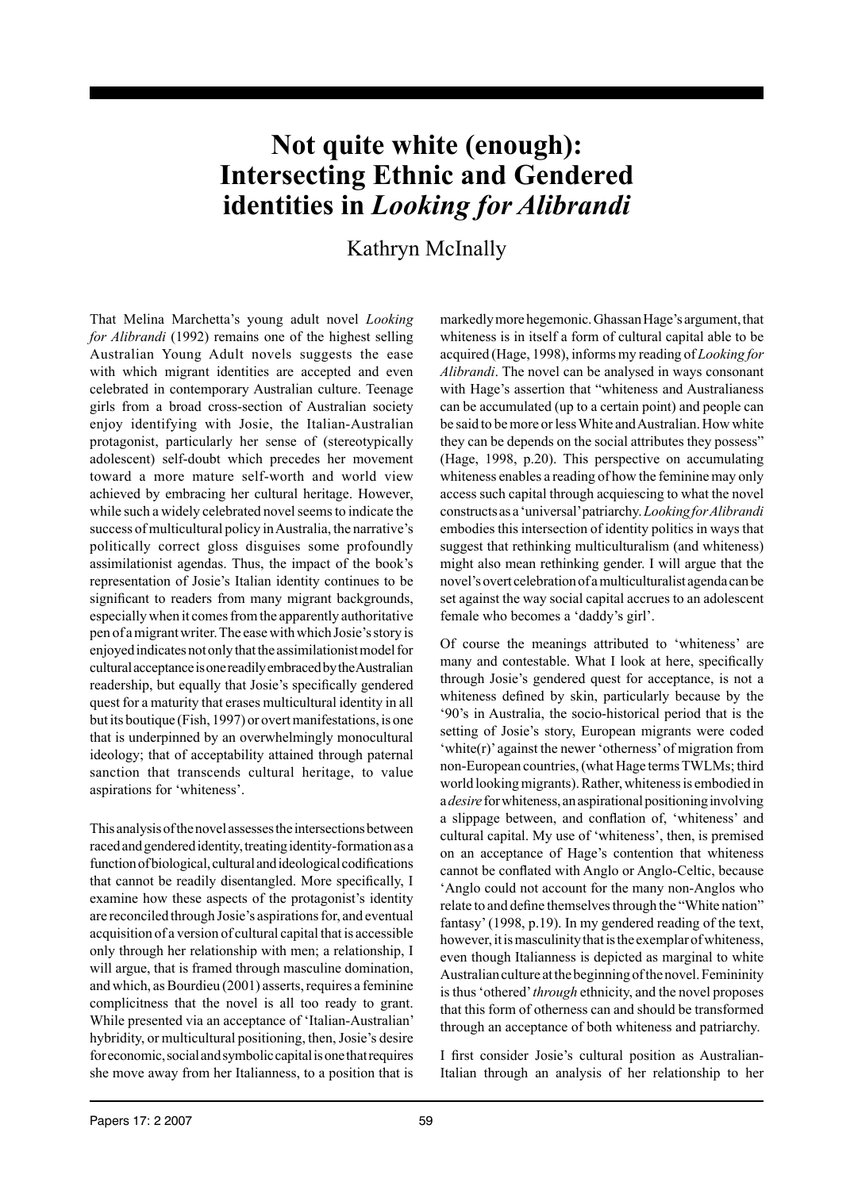# **Not quite white (enough): Intersecting Ethnic and Gendered identities in** *Looking for Alibrandi*

# Kathryn McInally

That Melina Marchetta's young adult novel *Looking for Alibrandi* (1992) remains one of the highest selling Australian Young Adult novels suggests the ease with which migrant identities are accepted and even celebrated in contemporary Australian culture. Teenage girls from a broad cross-section of Australian society enjoy identifying with Josie, the Italian-Australian protagonist, particularly her sense of (stereotypically adolescent) self-doubt which precedes her movement toward a more mature self-worth and world view achieved by embracing her cultural heritage. However, while such a widely celebrated novel seems to indicate the success of multicultural policy in Australia, the narrative's politically correct gloss disguises some profoundly assimilationist agendas. Thus, the impact of the book's representation of Josie's Italian identity continues to be significant to readers from many migrant backgrounds, especially when it comes from the apparently authoritative pen of a migrant writer. The ease with which Josie's story is enjoyed indicates not only that the assimilationist model for cultural acceptance is one readily embraced by the Australian readership, but equally that Josie's specifically gendered quest for a maturity that erases multicultural identity in all but its boutique (Fish, 1997) or overt manifestations, is one that is underpinned by an overwhelmingly monocultural ideology; that of acceptability attained through paternal sanction that transcends cultural heritage, to value aspirations for 'whiteness'.

This analysis of the novel assesses the intersections between raced and gendered identity, treating identity-formation as a function of biological, cultural and ideological codifications that cannot be readily disentangled. More specifically, I examine how these aspects of the protagonist's identity are reconciled through Josie's aspirations for, and eventual acquisition of a version of cultural capital that is accessible only through her relationship with men; a relationship, I will argue, that is framed through masculine domination, and which, as Bourdieu (2001) asserts, requires a feminine complicitness that the novel is all too ready to grant. While presented via an acceptance of 'Italian-Australian' hybridity, or multicultural positioning, then, Josie's desire for economic, social and symbolic capital is one that requires she move away from her Italianness, to a position that is

markedly more hegemonic. Ghassan Hage's argument, that whiteness is in itself a form of cultural capital able to be acquired (Hage, 1998), informs my reading of *Looking for Alibrandi*. The novel can be analysed in ways consonant with Hage's assertion that "whiteness and Australianess can be accumulated (up to a certain point) and people can be said to be more or less White and Australian. How white they can be depends on the social attributes they possess" (Hage, 1998, p.20). This perspective on accumulating whiteness enables a reading of how the feminine may only access such capital through acquiescing to what the novel constructs as a 'universal' patriarchy. *Looking for Alibrandi* embodies this intersection of identity politics in ways that suggest that rethinking multiculturalism (and whiteness) might also mean rethinking gender. I will argue that the novel's overt celebration of a multiculturalist agenda can be set against the way social capital accrues to an adolescent female who becomes a 'daddy's girl'.

Of course the meanings attributed to 'whiteness' are many and contestable. What I look at here, specifically through Josie's gendered quest for acceptance, is not a whiteness defined by skin, particularly because by the '90's in Australia, the socio-historical period that is the setting of Josie's story, European migrants were coded 'white(r)' against the newer 'otherness' of migration from non-European countries, (what Hage terms TWLMs; third world looking migrants). Rather, whiteness is embodied in a *desire* for whiteness, an aspirational positioning involving a slippage between, and conflation of, 'whiteness' and cultural capital. My use of 'whiteness', then, is premised on an acceptance of Hage's contention that whiteness cannot be conflated with Anglo or Anglo-Celtic, because 'Anglo could not account for the many non-Anglos who relate to and define themselves through the "White nation" fantasy' (1998, p.19). In my gendered reading of the text, however, it is masculinity that is the exemplar of whiteness, even though Italianness is depicted as marginal to white Australian culture at the beginning of the novel. Femininity is thus 'othered' *through* ethnicity, and the novel proposes that this form of otherness can and should be transformed through an acceptance of both whiteness and patriarchy.

I first consider Josie's cultural position as Australian-Italian through an analysis of her relationship to her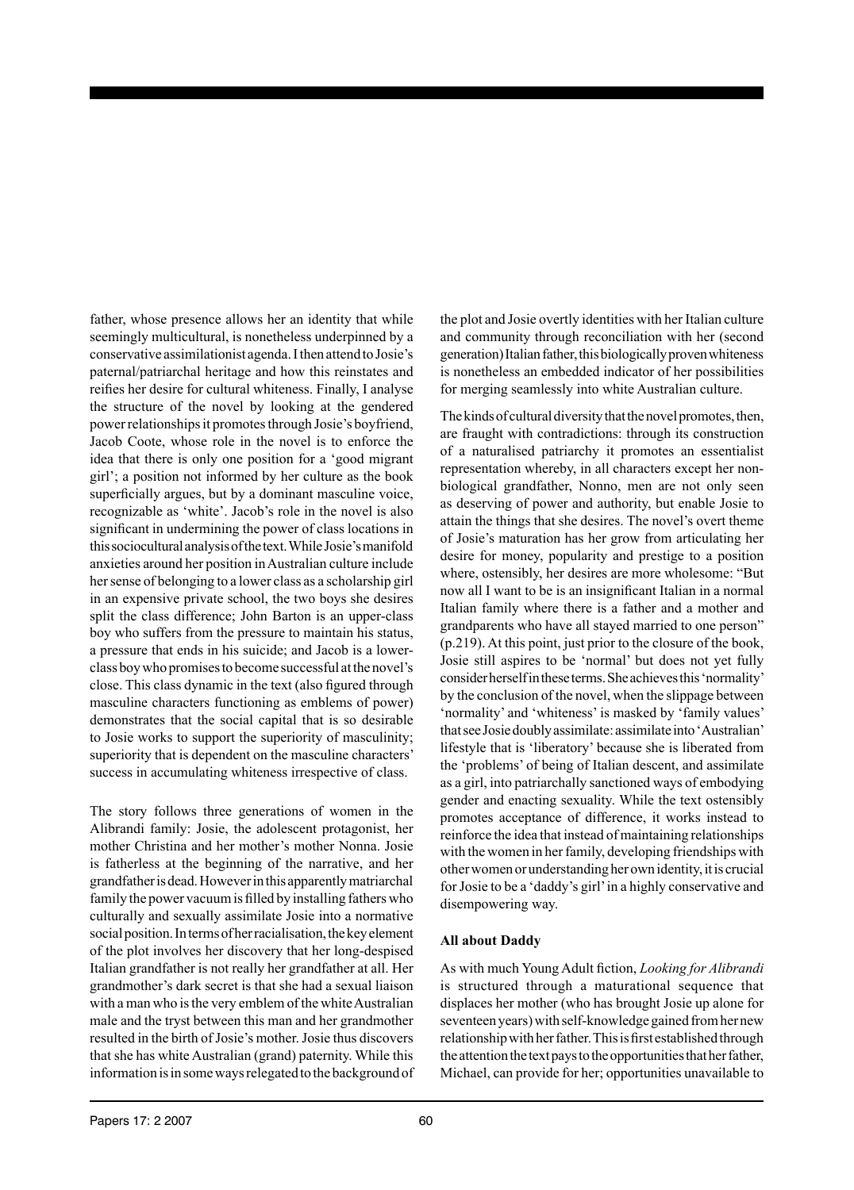father, whose presence allows her an identity that while seemingly multicultural, is nonetheless underpinned by a conservative assimilationist agenda. I then attend to Josie's paternal/patriarchal heritage and how this reinstates and reifies her desire for cultural whiteness. Finally, I analyse the structure of the novel by looking at the gendered power relationships it promotes through Josie's boyfriend, Jacob Coote, whose role in the novel is to enforce the idea that there is only one position for a 'good migrant girl'; a position not informed by her culture as the book superficially argues, but by a dominant masculine voice, recognizable as 'white'. Jacob's role in the novel is also significant in undermining the power of class locations in this sociocultural analysis of the text. While Josie's manifold anxieties around her position in Australian culture include her sense of belonging to a lower class as a scholarship girl in an expensive private school, the two boys she desires split the class difference; John Barton is an upper-class boy who suffers from the pressure to maintain his status, a pressure that ends in his suicide; and Jacob is a lowerclass boy who promises to become successful at the novel's close. This class dynamic in the text (also figured through masculine characters functioning as emblems of power) demonstrates that the social capital that is so desirable to Josie works to support the superiority of masculinity; superiority that is dependent on the masculine characters' success in accumulating whiteness irrespective of class.

The story follows three generations of women in the Alibrandi family: Josie, the adolescent protagonist, her mother Christina and her mother's mother Nonna. Josie is fatherless at the beginning of the narrative, and her grandfather is dead. However in this apparently matriarchal family the power vacuum is filled by installing fathers who culturally and sexually assimilate Josie into a normative social position. In terms of her racialisation, the key element of the plot involves her discovery that her long-despised Italian grandfather is not really her grandfather at all. Her grandmother's dark secret is that she had a sexual liaison with a man who is the very emblem of the white Australian male and the tryst between this man and her grandmother resulted in the birth of Josie's mother. Josie thus discovers that she has white Australian (grand) paternity. While this information is in some ways relegated to the background of the plot and Josie overtly identities with her Italian culture and community through reconciliation with her (second generation) Italian father, this biologically proven whiteness is nonetheless an embedded indicator of her possibilities for merging seamlessly into white Australian culture.

The kinds of cultural diversity that the novel promotes, then, are fraught with contradictions: through its construction of a naturalised patriarchy it promotes an essentialist representation whereby, in all characters except her nonbiological grandfather, Nonno, men are not only seen as deserving of power and authority, but enable Josie to attain the things that she desires. The novel's overt theme of Josie's maturation has her grow from articulating her desire for money, popularity and prestige to a position where, ostensibly, her desires are more wholesome: "But now all I want to be is an insignificant Italian in a normal Italian family where there is a father and a mother and grandparents who have all stayed married to one person" (p.219). At this point, just prior to the closure of the book, Josie still aspires to be 'normal' but does not yet fully consider herself in these terms. She achieves this 'normality' by the conclusion of the novel, when the slippage between 'normality' and 'whiteness' is masked by 'family values' that see Josie doubly assimilate: assimilate into 'Australian' lifestyle that is 'liberatory' because she is liberated from the 'problems' of being of Italian descent, and assimilate as a girl, into patriarchally sanctioned ways of embodying gender and enacting sexuality. While the text ostensibly promotes acceptance of difference, it works instead to reinforce the idea that instead of maintaining relationships with the women in her family, developing friendships with other women or understanding her own identity, it is crucial for Josie to be a 'daddy's girl' in a highly conservative and disempowering way.

# **All about Daddy**

As with much Young Adult fiction, *Looking for Alibrandi* is structured through a maturational sequence that displaces her mother (who has brought Josie up alone for seventeen years) with self-knowledge gained from her new relationship with her father. This is first established through the attention the text pays to the opportunities that her father, Michael, can provide for her; opportunities unavailable to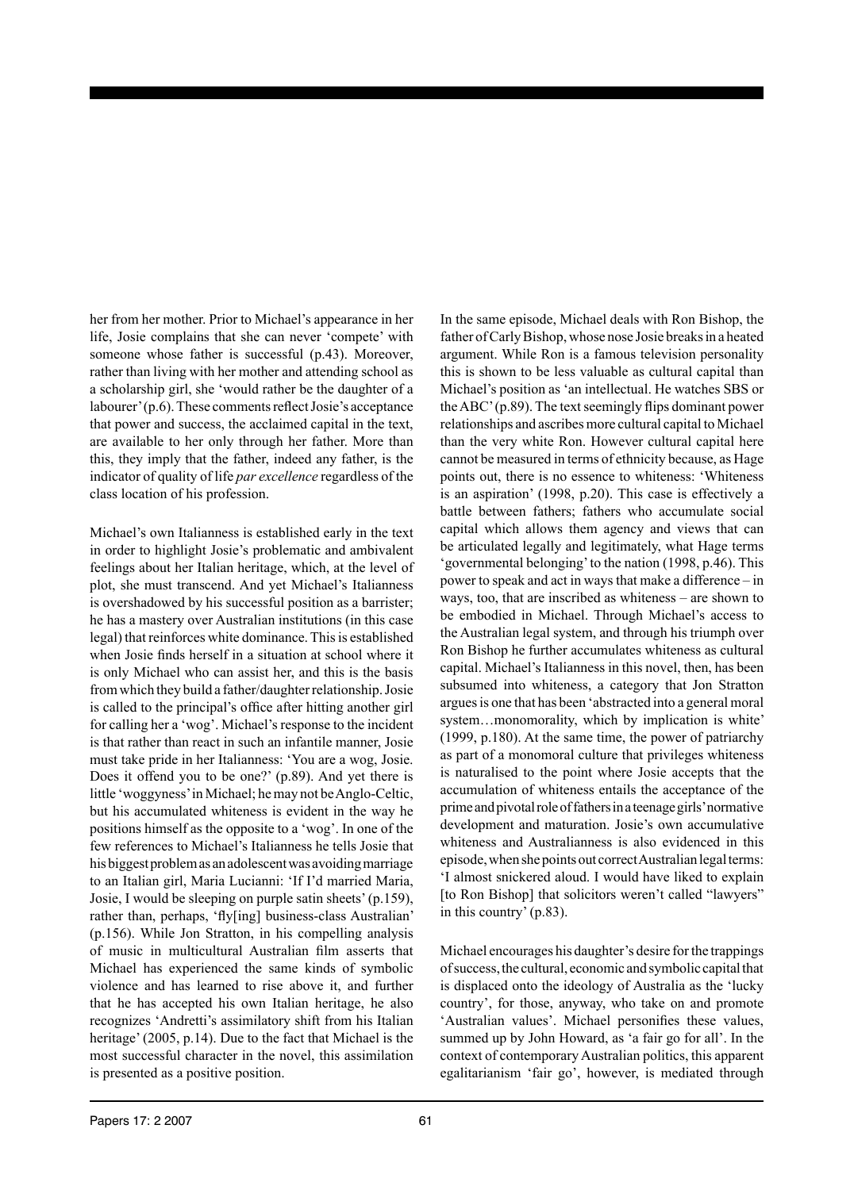her from her mother. Prior to Michael's appearance in her life, Josie complains that she can never 'compete' with someone whose father is successful (p.43). Moreover, rather than living with her mother and attending school as a scholarship girl, she 'would rather be the daughter of a labourer' (p.6). These comments reflect Josie's acceptance that power and success, the acclaimed capital in the text, are available to her only through her father. More than this, they imply that the father, indeed any father, is the indicator of quality of life *par excellence* regardless of the class location of his profession.

Michael's own Italianness is established early in the text in order to highlight Josie's problematic and ambivalent feelings about her Italian heritage, which, at the level of plot, she must transcend. And yet Michael's Italianness is overshadowed by his successful position as a barrister; he has a mastery over Australian institutions (in this case legal) that reinforces white dominance. This is established when Josie finds herself in a situation at school where it is only Michael who can assist her, and this is the basis from which they build a father/daughter relationship. Josie is called to the principal's office after hitting another girl for calling her a 'wog'. Michael's response to the incident is that rather than react in such an infantile manner, Josie must take pride in her Italianness: 'You are a wog, Josie. Does it offend you to be one?' (p.89). And yet there is little 'woggyness' in Michael; he may not be Anglo-Celtic, but his accumulated whiteness is evident in the way he positions himself as the opposite to a 'wog'. In one of the few references to Michael's Italianness he tells Josie that his biggest problem as an adolescent was avoiding marriage to an Italian girl, Maria Lucianni: 'If I'd married Maria, Josie, I would be sleeping on purple satin sheets' (p.159), rather than, perhaps, 'fly[ing] business-class Australian' (p.156). While Jon Stratton, in his compelling analysis of music in multicultural Australian film asserts that Michael has experienced the same kinds of symbolic violence and has learned to rise above it, and further that he has accepted his own Italian heritage, he also recognizes 'Andretti's assimilatory shift from his Italian heritage' (2005, p.14). Due to the fact that Michael is the most successful character in the novel, this assimilation is presented as a positive position.

In the same episode, Michael deals with Ron Bishop, the father of Carly Bishop, whose nose Josie breaks in a heated argument. While Ron is a famous television personality this is shown to be less valuable as cultural capital than Michael's position as 'an intellectual. He watches SBS or the ABC' (p.89). The text seemingly flips dominant power relationships and ascribes more cultural capital to Michael than the very white Ron. However cultural capital here cannot be measured in terms of ethnicity because, as Hage points out, there is no essence to whiteness: 'Whiteness is an aspiration' (1998, p.20). This case is effectively a battle between fathers; fathers who accumulate social capital which allows them agency and views that can be articulated legally and legitimately, what Hage terms 'governmental belonging' to the nation (1998, p.46). This power to speak and act in ways that make a difference – in ways, too, that are inscribed as whiteness – are shown to be embodied in Michael. Through Michael's access to the Australian legal system, and through his triumph over Ron Bishop he further accumulates whiteness as cultural capital. Michael's Italianness in this novel, then, has been subsumed into whiteness, a category that Jon Stratton argues is one that has been 'abstracted into a general moral system…monomorality, which by implication is white' (1999, p.180). At the same time, the power of patriarchy as part of a monomoral culture that privileges whiteness is naturalised to the point where Josie accepts that the accumulation of whiteness entails the acceptance of the prime and pivotal role of fathers in a teenage girls' normative development and maturation. Josie's own accumulative whiteness and Australianness is also evidenced in this episode, when she points out correct Australian legal terms: 'I almost snickered aloud. I would have liked to explain [to Ron Bishop] that solicitors weren't called "lawyers" in this country' (p.83).

Michael encourages his daughter's desire for the trappings of success, the cultural, economic and symbolic capital that is displaced onto the ideology of Australia as the 'lucky country', for those, anyway, who take on and promote 'Australian values'. Michael personifies these values, summed up by John Howard, as 'a fair go for all'. In the context of contemporary Australian politics, this apparent egalitarianism 'fair go', however, is mediated through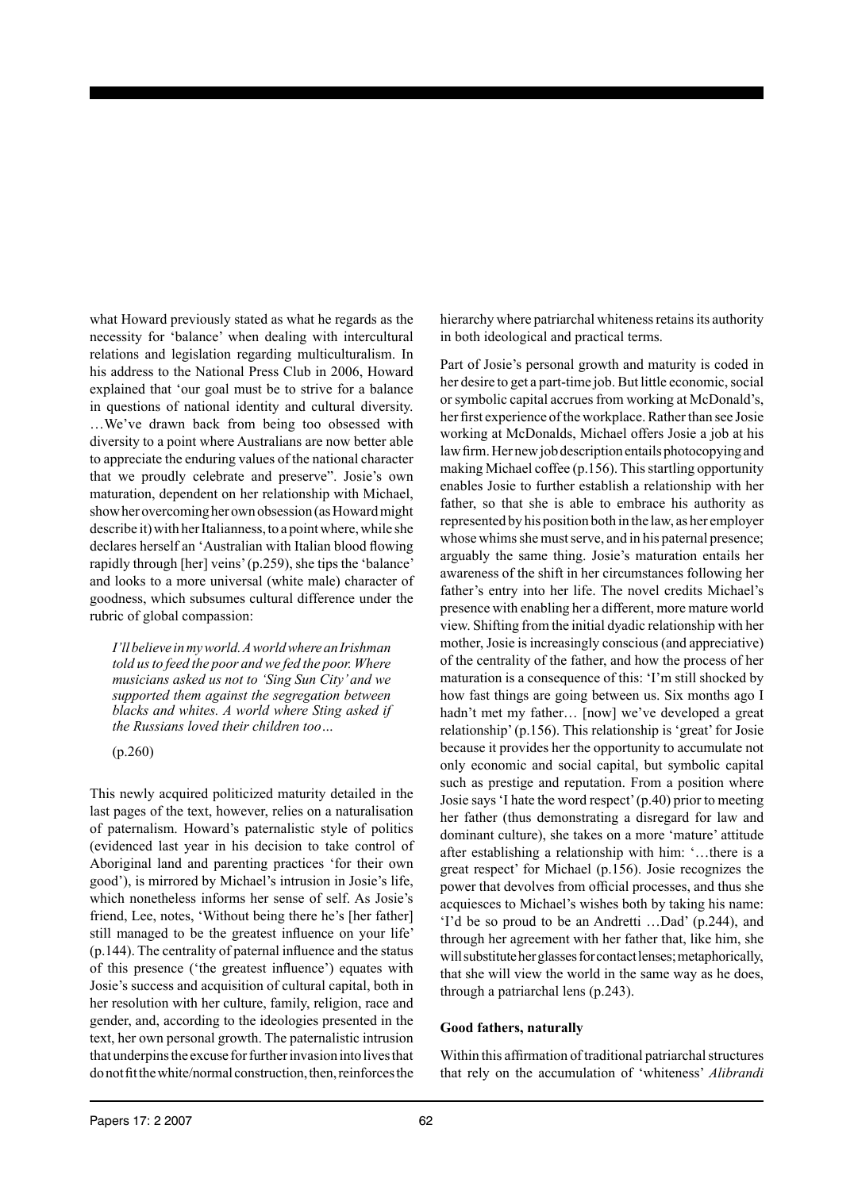what Howard previously stated as what he regards as the necessity for 'balance' when dealing with intercultural relations and legislation regarding multiculturalism. In his address to the National Press Club in 2006, Howard explained that 'our goal must be to strive for a balance in questions of national identity and cultural diversity. …We've drawn back from being too obsessed with diversity to a point where Australians are now better able to appreciate the enduring values of the national character that we proudly celebrate and preserve". Josie's own maturation, dependent on her relationship with Michael, show her overcoming her own obsession (as Howard might describe it) with her Italianness, to a point where, while she declares herself an 'Australian with Italian blood flowing rapidly through [her] veins' (p.259), she tips the 'balance' and looks to a more universal (white male) character of goodness, which subsumes cultural difference under the rubric of global compassion:

*I'll believe in my world. A world where an Irishman told us to feed the poor and we fed the poor. Where musicians asked us not to 'Sing Sun City' and we supported them against the segregation between blacks and whites. A world where Sting asked if the Russians loved their children too…*

(p.260)

This newly acquired politicized maturity detailed in the last pages of the text, however, relies on a naturalisation of paternalism. Howard's paternalistic style of politics (evidenced last year in his decision to take control of Aboriginal land and parenting practices 'for their own good'), is mirrored by Michael's intrusion in Josie's life, which nonetheless informs her sense of self. As Josie's friend, Lee, notes, 'Without being there he's [her father] still managed to be the greatest influence on your life' (p.144). The centrality of paternal influence and the status of this presence ('the greatest influence') equates with Josie's success and acquisition of cultural capital, both in her resolution with her culture, family, religion, race and gender, and, according to the ideologies presented in the text, her own personal growth. The paternalistic intrusion that underpins the excuse for further invasion into lives that do not fit the white/normal construction, then, reinforces the

hierarchy where patriarchal whiteness retains its authority in both ideological and practical terms.

Part of Josie's personal growth and maturity is coded in her desire to get a part-time job. But little economic, social or symbolic capital accrues from working at McDonald's, her first experience of the workplace. Rather than see Josie working at McDonalds, Michael offers Josie a job at his law firm. Her new job description entails photocopying and making Michael coffee (p.156). This startling opportunity enables Josie to further establish a relationship with her father, so that she is able to embrace his authority as represented by his position both in the law, as her employer whose whims she must serve, and in his paternal presence; arguably the same thing. Josie's maturation entails her awareness of the shift in her circumstances following her father's entry into her life. The novel credits Michael's presence with enabling her a different, more mature world view. Shifting from the initial dyadic relationship with her mother, Josie is increasingly conscious (and appreciative) of the centrality of the father, and how the process of her maturation is a consequence of this: 'I'm still shocked by how fast things are going between us. Six months ago I hadn't met my father… [now] we've developed a great relationship' (p.156). This relationship is 'great' for Josie because it provides her the opportunity to accumulate not only economic and social capital, but symbolic capital such as prestige and reputation. From a position where Josie says 'I hate the word respect' (p.40) prior to meeting her father (thus demonstrating a disregard for law and dominant culture), she takes on a more 'mature' attitude after establishing a relationship with him: '…there is a great respect' for Michael (p.156). Josie recognizes the power that devolves from official processes, and thus she acquiesces to Michael's wishes both by taking his name: 'I'd be so proud to be an Andretti …Dad' (p.244), and through her agreement with her father that, like him, she will substitute her glasses for contact lenses; metaphorically, that she will view the world in the same way as he does, through a patriarchal lens (p.243).

#### **Good fathers, naturally**

Within this affirmation of traditional patriarchal structures that rely on the accumulation of 'whiteness' *Alibrandi*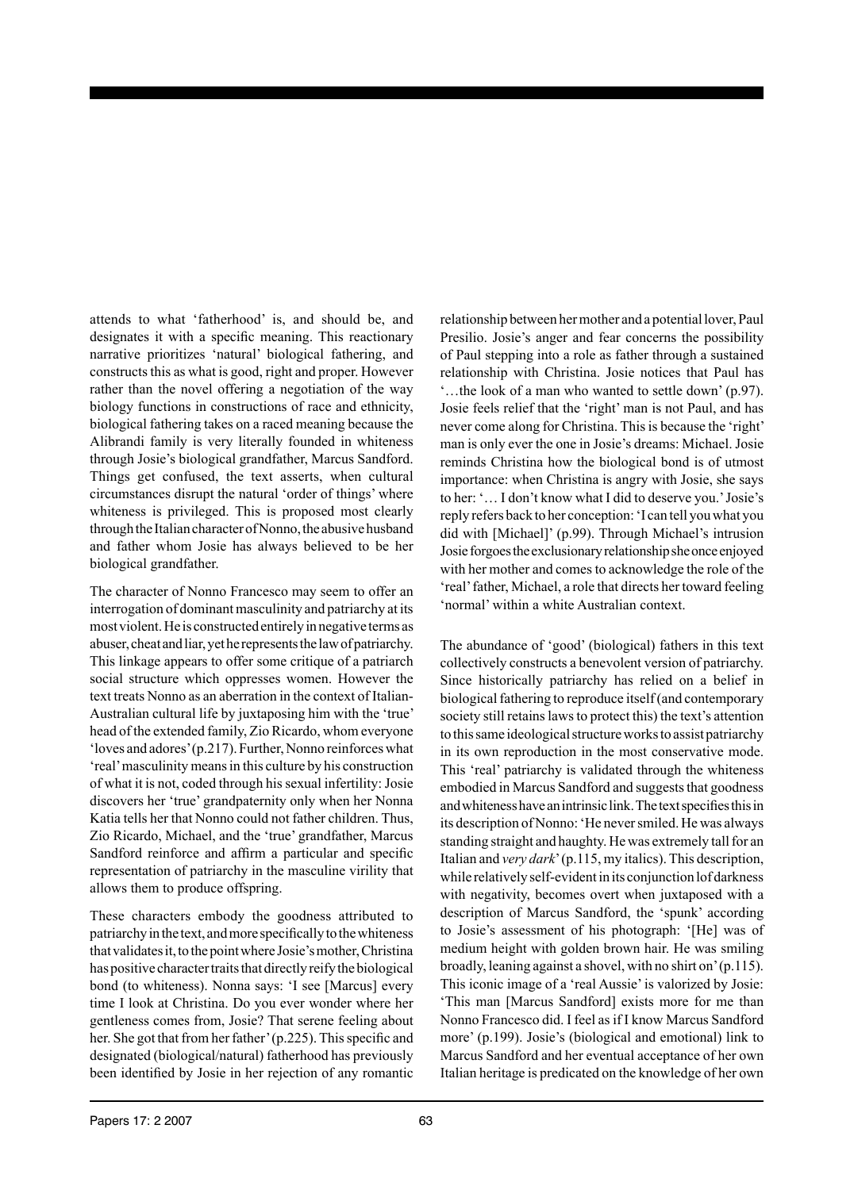attends to what 'fatherhood' is, and should be, and designates it with a specific meaning. This reactionary narrative prioritizes 'natural' biological fathering, and constructs this as what is good, right and proper. However rather than the novel offering a negotiation of the way biology functions in constructions of race and ethnicity, biological fathering takes on a raced meaning because the Alibrandi family is very literally founded in whiteness through Josie's biological grandfather, Marcus Sandford. Things get confused, the text asserts, when cultural circumstances disrupt the natural 'order of things' where whiteness is privileged. This is proposed most clearly through the Italian character of Nonno, the abusive husband and father whom Josie has always believed to be her biological grandfather.

The character of Nonno Francesco may seem to offer an interrogation of dominant masculinity and patriarchy at its most violent. He is constructed entirely in negative terms as abuser, cheat and liar, yet he represents the law of patriarchy. This linkage appears to offer some critique of a patriarch social structure which oppresses women. However the text treats Nonno as an aberration in the context of Italian-Australian cultural life by juxtaposing him with the 'true' head of the extended family, Zio Ricardo, whom everyone 'loves and adores' (p.217). Further, Nonno reinforces what 'real' masculinity means in this culture by his construction of what it is not, coded through his sexual infertility: Josie discovers her 'true' grandpaternity only when her Nonna Katia tells her that Nonno could not father children. Thus, Zio Ricardo, Michael, and the 'true' grandfather, Marcus Sandford reinforce and affirm a particular and specific representation of patriarchy in the masculine virility that allows them to produce offspring.

These characters embody the goodness attributed to patriarchy in the text, and more specifically to the whiteness that validates it, to the point where Josie's mother, Christina has positive character traits that directly reify the biological bond (to whiteness). Nonna says: 'I see [Marcus] every time I look at Christina. Do you ever wonder where her gentleness comes from, Josie? That serene feeling about her. She got that from her father' (p.225). This specific and designated (biological/natural) fatherhood has previously been identified by Josie in her rejection of any romantic

relationship between her mother and a potential lover, Paul Presilio. Josie's anger and fear concerns the possibility of Paul stepping into a role as father through a sustained relationship with Christina. Josie notices that Paul has '…the look of a man who wanted to settle down' (p.97). Josie feels relief that the 'right' man is not Paul, and has never come along for Christina. This is because the 'right' man is only ever the one in Josie's dreams: Michael. Josie reminds Christina how the biological bond is of utmost importance: when Christina is angry with Josie, she says to her: '… I don't know what I did to deserve you.' Josie's reply refers back to her conception: 'I can tell you what you did with [Michael]' (p.99). Through Michael's intrusion Josie forgoes the exclusionary relationship she once enjoyed with her mother and comes to acknowledge the role of the 'real' father, Michael, a role that directs her toward feeling 'normal' within a white Australian context.

The abundance of 'good' (biological) fathers in this text collectively constructs a benevolent version of patriarchy. Since historically patriarchy has relied on a belief in biological fathering to reproduce itself (and contemporary society still retains laws to protect this) the text's attention to this same ideological structure works to assist patriarchy in its own reproduction in the most conservative mode. This 'real' patriarchy is validated through the whiteness embodied in Marcus Sandford and suggests that goodness and whiteness have an intrinsic link. The text specifies this in its description of Nonno: 'He never smiled. He was always standing straight and haughty. He was extremely tall for an Italian and *very dark*' (p.115, my italics). This description, while relatively self-evident in its conjunction lof darkness with negativity, becomes overt when juxtaposed with a description of Marcus Sandford, the 'spunk' according to Josie's assessment of his photograph: '[He] was of medium height with golden brown hair. He was smiling broadly, leaning against a shovel, with no shirt on' (p.115). This iconic image of a 'real Aussie' is valorized by Josie: 'This man [Marcus Sandford] exists more for me than Nonno Francesco did. I feel as if I know Marcus Sandford more' (p.199). Josie's (biological and emotional) link to Marcus Sandford and her eventual acceptance of her own Italian heritage is predicated on the knowledge of her own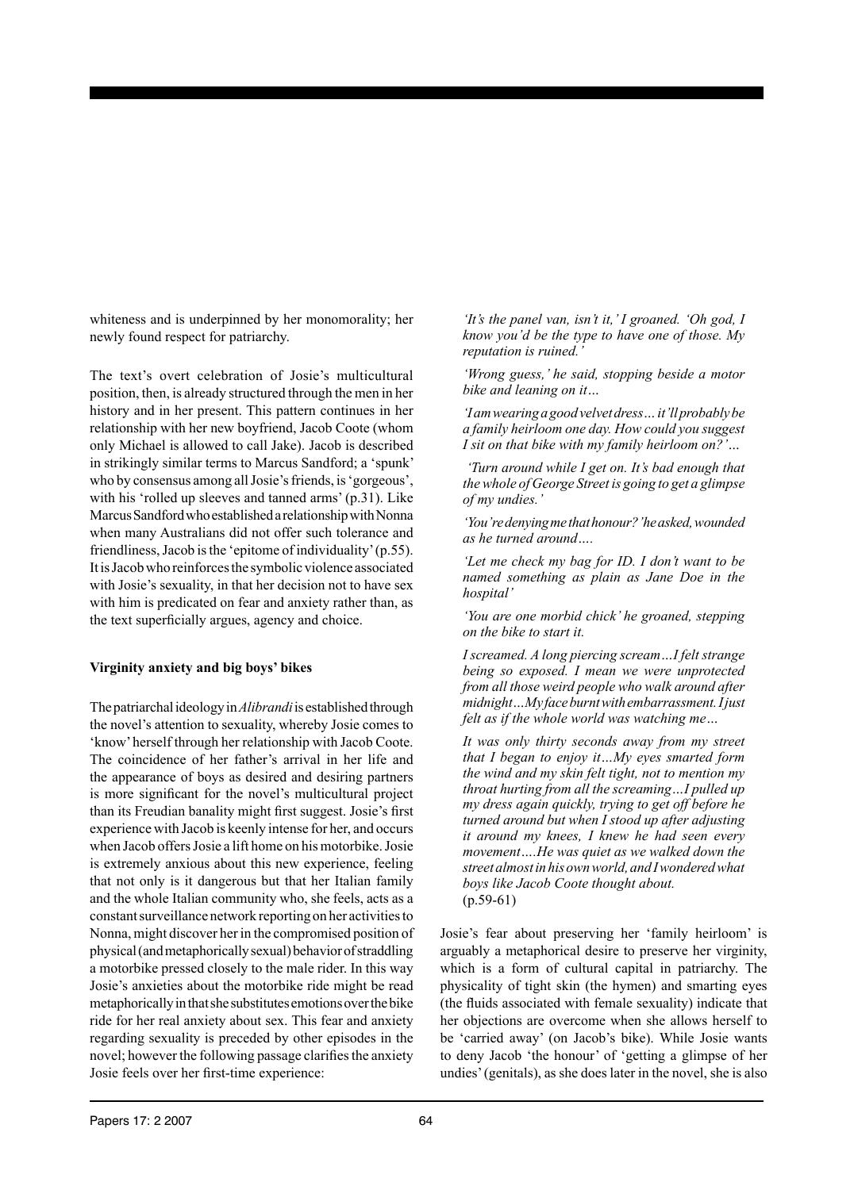whiteness and is underpinned by her monomorality; her newly found respect for patriarchy.

The text's overt celebration of Josie's multicultural position, then, is already structured through the men in her history and in her present. This pattern continues in her relationship with her new boyfriend, Jacob Coote (whom only Michael is allowed to call Jake). Jacob is described in strikingly similar terms to Marcus Sandford; a 'spunk' who by consensus among all Josie's friends, is 'gorgeous', with his 'rolled up sleeves and tanned arms' (p.31). Like Marcus Sandford who established a relationship with Nonna when many Australians did not offer such tolerance and friendliness, Jacob is the 'epitome of individuality' (p.55). It is Jacob who reinforces the symbolic violence associated with Josie's sexuality, in that her decision not to have sex with him is predicated on fear and anxiety rather than, as the text superficially argues, agency and choice.

# **Virginity anxiety and big boys' bikes**

The patriarchal ideology in *Alibrandi* is established through the novel's attention to sexuality, whereby Josie comes to 'know' herself through her relationship with Jacob Coote. The coincidence of her father's arrival in her life and the appearance of boys as desired and desiring partners is more significant for the novel's multicultural project than its Freudian banality might first suggest. Josie's first experience with Jacob is keenly intense for her, and occurs when Jacob offers Josie a lift home on his motorbike. Josie is extremely anxious about this new experience, feeling that not only is it dangerous but that her Italian family and the whole Italian community who, she feels, acts as a constant surveillance network reporting on her activities to Nonna, might discover her in the compromised position of physical (and metaphorically sexual) behavior of straddling a motorbike pressed closely to the male rider. In this way Josie's anxieties about the motorbike ride might be read metaphorically in that she substitutes emotions over the bike ride for her real anxiety about sex. This fear and anxiety regarding sexuality is preceded by other episodes in the novel; however the following passage clarifies the anxiety Josie feels over her first-time experience:

*'It's the panel van, isn't it,' I groaned. 'Oh god, I know you'd be the type to have one of those. My reputation is ruined.'*

*'Wrong guess,' he said, stopping beside a motor bike and leaning on it…*

*'I am wearing a good velvet dress… it'll probably be a family heirloom one day. How could you suggest I sit on that bike with my family heirloom on?'…*

 *'Turn around while I get on. It's bad enough that the whole of George Street is going to get a glimpse of my undies.'*

*'You're denying me that honour?' he asked, wounded as he turned around….*

*'Let me check my bag for ID. I don't want to be named something as plain as Jane Doe in the hospital'*

*'You are one morbid chick' he groaned, stepping on the bike to start it.*

*I screamed. A long piercing scream…I felt strange being so exposed. I mean we were unprotected from all those weird people who walk around after midnight…My face burnt with embarrassment. I just felt as if the whole world was watching me…*

*It was only thirty seconds away from my street that I began to enjoy it…My eyes smarted form the wind and my skin felt tight, not to mention my throat hurting from all the screaming…I pulled up my dress again quickly, trying to get off before he turned around but when I stood up after adjusting it around my knees, I knew he had seen every movement….He was quiet as we walked down the street almost in his own world, and I wondered what boys like Jacob Coote thought about.*   $(p.59-61)$ 

Josie's fear about preserving her 'family heirloom' is arguably a metaphorical desire to preserve her virginity, which is a form of cultural capital in patriarchy. The physicality of tight skin (the hymen) and smarting eyes (the fluids associated with female sexuality) indicate that her objections are overcome when she allows herself to be 'carried away' (on Jacob's bike). While Josie wants to deny Jacob 'the honour' of 'getting a glimpse of her undies' (genitals), as she does later in the novel, she is also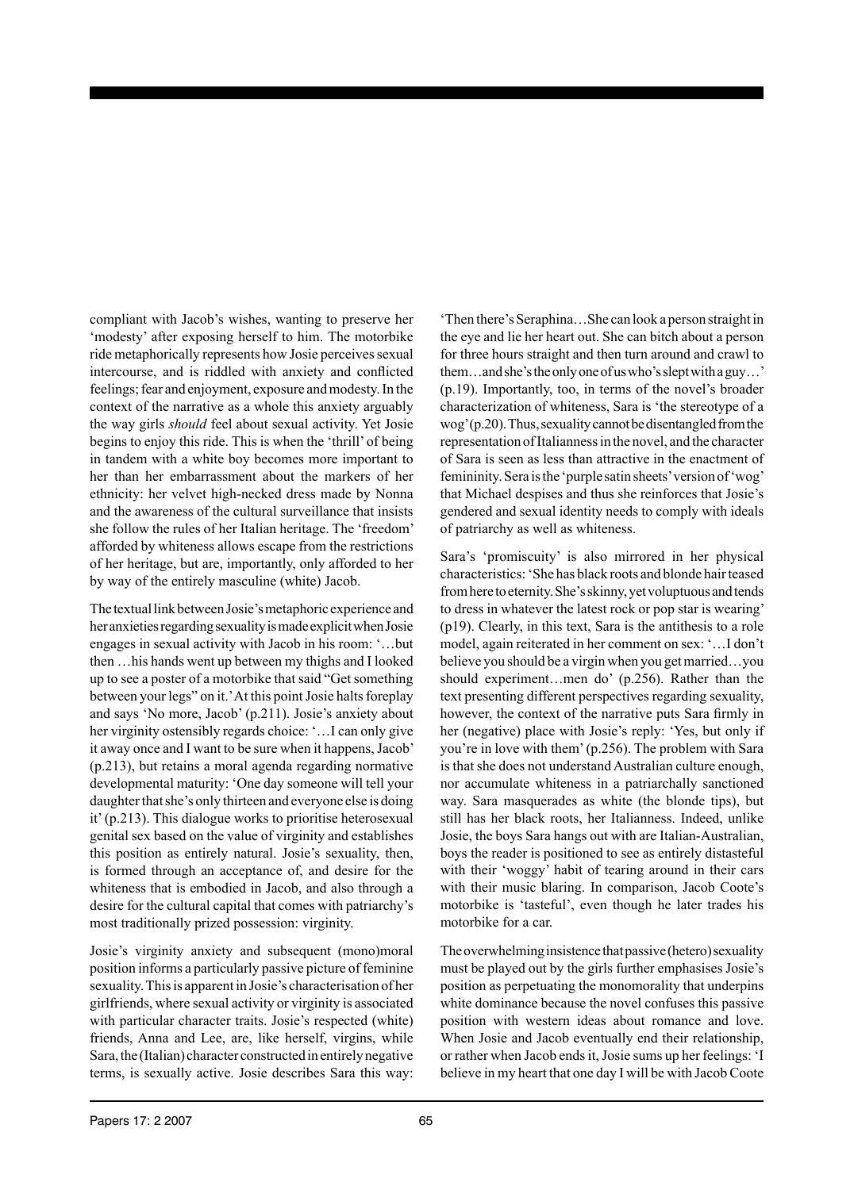compliant with Jacob's wishes, wanting to preserve her 'modesty' after exposing herself to him. The motorbike ride metaphorically represents how Josie perceives sexual intercourse, and is riddled with anxiety and conflicted feelings; fear and enjoyment, exposure and modesty. In the context of the narrative as a whole this anxiety arguably the way girls *should* feel about sexual activity. Yet Josie begins to enjoy this ride. This is when the 'thrill' of being in tandem with a white boy becomes more important to her than her embarrassment about the markers of her ethnicity: her velvet high-necked dress made by Nonna and the awareness of the cultural surveillance that insists she follow the rules of her Italian heritage. The 'freedom' afforded by whiteness allows escape from the restrictions of her heritage, but are, importantly, only afforded to her by way of the entirely masculine (white) Jacob.

The textual link between Josie's metaphoric experience and her anxieties regarding sexuality is made explicit when Josie engages in sexual activity with Jacob in his room: '…but then …his hands went up between my thighs and I looked up to see a poster of a motorbike that said "Get something between your legs" on it.' At this point Josie halts foreplay and says 'No more, Jacob' (p.211). Josie's anxiety about her virginity ostensibly regards choice: '…I can only give it away once and I want to be sure when it happens, Jacob' (p.213), but retains a moral agenda regarding normative developmental maturity: 'One day someone will tell your daughter that she's only thirteen and everyone else is doing it' (p.213). This dialogue works to prioritise heterosexual genital sex based on the value of virginity and establishes this position as entirely natural. Josie's sexuality, then, is formed through an acceptance of, and desire for the whiteness that is embodied in Jacob, and also through a desire for the cultural capital that comes with patriarchy's most traditionally prized possession: virginity.

Josie's virginity anxiety and subsequent (mono)moral position informs a particularly passive picture of feminine sexuality. This is apparent in Josie's characterisation of her girlfriends, where sexual activity or virginity is associated with particular character traits. Josie's respected (white) friends, Anna and Lee, are, like herself, virgins, while Sara, the (Italian) character constructed in entirely negative terms, is sexually active. Josie describes Sara this way:

'Then there's Seraphina…She can look a person straight in the eye and lie her heart out. She can bitch about a person for three hours straight and then turn around and crawl to them…and she's the only one of us who's slept with a guy…' (p.19). Importantly, too, in terms of the novel's broader characterization of whiteness, Sara is 'the stereotype of a wog' (p.20). Thus, sexuality cannot be disentangled from the representation of Italianness in the novel, and the character of Sara is seen as less than attractive in the enactment of femininity. Sera is the 'purple satin sheets' version of 'wog' that Michael despises and thus she reinforces that Josie's gendered and sexual identity needs to comply with ideals of patriarchy as well as whiteness.

Sara's 'promiscuity' is also mirrored in her physical characteristics: 'She has black roots and blonde hair teased from here to eternity. She's skinny, yet voluptuous and tends to dress in whatever the latest rock or pop star is wearing' (p19). Clearly, in this text, Sara is the antithesis to a role model, again reiterated in her comment on sex: '…I don't believe you should be a virgin when you get married…you should experiment…men do' (p.256). Rather than the text presenting different perspectives regarding sexuality, however, the context of the narrative puts Sara firmly in her (negative) place with Josie's reply: 'Yes, but only if you're in love with them' (p.256). The problem with Sara is that she does not understand Australian culture enough, nor accumulate whiteness in a patriarchally sanctioned way. Sara masquerades as white (the blonde tips), but still has her black roots, her Italianness. Indeed, unlike Josie, the boys Sara hangs out with are Italian-Australian, boys the reader is positioned to see as entirely distasteful with their 'woggy' habit of tearing around in their cars with their music blaring. In comparison, Jacob Coote's motorbike is 'tasteful', even though he later trades his motorbike for a car.

The overwhelming insistence that passive (hetero) sexuality must be played out by the girls further emphasises Josie's position as perpetuating the monomorality that underpins white dominance because the novel confuses this passive position with western ideas about romance and love. When Josie and Jacob eventually end their relationship, or rather when Jacob ends it, Josie sums up her feelings: 'I believe in my heart that one day I will be with Jacob Coote